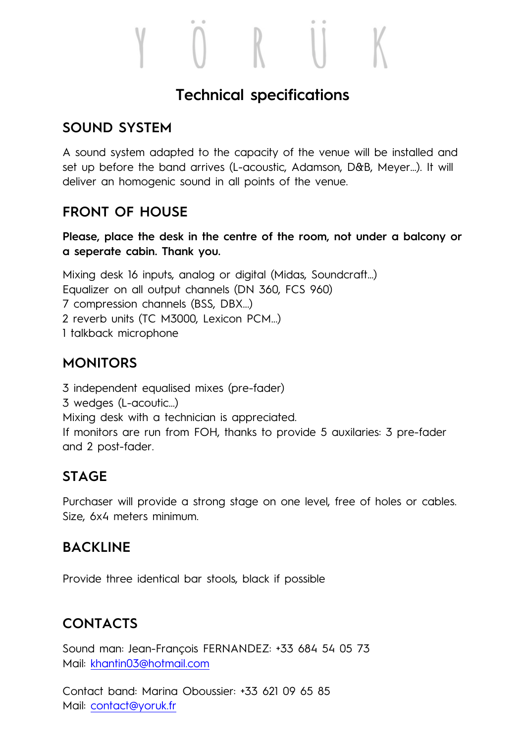#### **Technical specifications**

#### **SOUND SYSTEM**

A sound system adapted to the capacity of the venue will be installed and set up before the band arrives (L-acoustic, Adamson, D&B, Meyer…). It will deliver an homogenic sound in all points of the venue.

#### **FRONT OF HOUSE**

**Please, place the desk in the centre of the room, not under a balcony or a seperate cabin. Thank you.** 

Mixing desk 16 inputs, analog or digital (Midas, Soundcraft…) Equalizer on all output channels (DN 360, FCS 960) 7 compression channels (BSS, DBX...) 2 reverb units (TC M3000, Lexicon PCM...) 1 talkback microphone

#### **MONITORS**

3 independent equalised mixes (pre-fader)

3 wedges (L-acoutic…)

Mixing desk with a technician is appreciated.

If monitors are run from FOH, thanks to provide 5 auxilaries: 3 pre-fader and 2 post-fader.

#### **STAGE**

Purchaser will provide a strong stage on one level, free of holes or cables. Size, 6x4 meters minimum.

#### **BACKLINE**

Provide three identical bar stools, black if possible

### **CONTACTS**

Sound man: Jean-François FERNANDEZ: +33 684 54 05 73 Mail: khantin03@hotmail.com

Contact band: Marina Oboussier: +33 621 09 65 85 Mail: contact@yoruk.fr